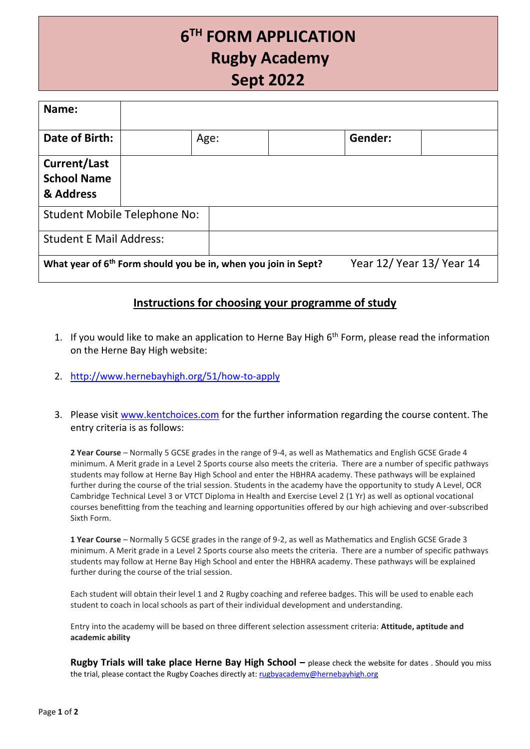# **6 TH FORM APPLICATION Rugby Academy Sept 2022**

| Name:                                                                      |  |      |  |                           |  |
|----------------------------------------------------------------------------|--|------|--|---------------------------|--|
| Date of Birth:                                                             |  | Age: |  | Gender:                   |  |
| <b>Current/Last</b><br><b>School Name</b><br>& Address                     |  |      |  |                           |  |
| <b>Student Mobile Telephone No:</b>                                        |  |      |  |                           |  |
| <b>Student E Mail Address:</b>                                             |  |      |  |                           |  |
| What year of 6 <sup>th</sup> Form should you be in, when you join in Sept? |  |      |  | Year 12/ Year 13/ Year 14 |  |

### **Instructions for choosing your programme of study**

- 1. If you would like to make an application to Herne Bay High  $6<sup>th</sup>$  Form, please read the information on the Herne Bay High website:
- 2. <http://www.hernebayhigh.org/51/how-to-apply>
- 3. Please visit [www.kentchoices.com](http://www.kentchoices.com/) for the further information regarding the course content. The entry criteria is as follows:

**2 Year Course** – Normally 5 GCSE grades in the range of 9-4, as well as Mathematics and English GCSE Grade 4 minimum. A Merit grade in a Level 2 Sports course also meets the criteria. There are a number of specific pathways students may follow at Herne Bay High School and enter the HBHRA academy. These pathways will be explained further during the course of the trial session. Students in the academy have the opportunity to study A Level, OCR Cambridge Technical Level 3 or VTCT Diploma in Health and Exercise Level 2 (1 Yr) as well as optional vocational courses benefitting from the teaching and learning opportunities offered by our high achieving and over-subscribed Sixth Form.

**1 Year Course** – Normally 5 GCSE grades in the range of 9-2, as well as Mathematics and English GCSE Grade 3 minimum. A Merit grade in a Level 2 Sports course also meets the criteria. There are a number of specific pathways students may follow at Herne Bay High School and enter the HBHRA academy. These pathways will be explained further during the course of the trial session.

Each student will obtain their level 1 and 2 Rugby coaching and referee badges. This will be used to enable each student to coach in local schools as part of their individual development and understanding.

Entry into the academy will be based on three different selection assessment criteria: **Attitude, aptitude and academic ability**

**Rugby Trials will take place Herne Bay High School – please check the website for dates . Should you miss** the trial, please contact the Rugby Coaches directly at: [rugbyacademy@hernebayhigh.org](mailto:rugbyacademy@hernebayhigh.org)